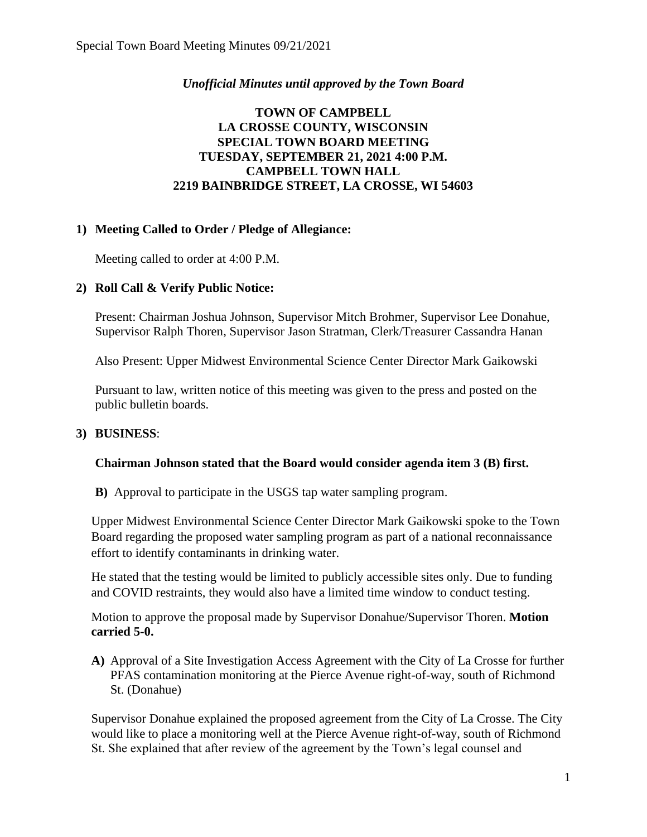### *Unofficial Minutes until approved by the Town Board*

### **TOWN OF CAMPBELL LA CROSSE COUNTY, WISCONSIN SPECIAL TOWN BOARD MEETING TUESDAY, SEPTEMBER 21, 2021 4:00 P.M. CAMPBELL TOWN HALL 2219 BAINBRIDGE STREET, LA CROSSE, WI 54603**

# **1) Meeting Called to Order / Pledge of Allegiance:**

Meeting called to order at 4:00 P.M.

# **2) Roll Call & Verify Public Notice:**

Present: Chairman Joshua Johnson, Supervisor Mitch Brohmer, Supervisor Lee Donahue, Supervisor Ralph Thoren, Supervisor Jason Stratman, Clerk/Treasurer Cassandra Hanan

Also Present: Upper Midwest Environmental Science Center Director Mark Gaikowski

Pursuant to law, written notice of this meeting was given to the press and posted on the public bulletin boards.

### **3) BUSINESS**:

### **Chairman Johnson stated that the Board would consider agenda item 3 (B) first.**

**B)** Approval to participate in the USGS tap water sampling program.

Upper Midwest Environmental Science Center Director Mark Gaikowski spoke to the Town Board regarding the proposed water sampling program as part of a national reconnaissance effort to identify contaminants in drinking water.

He stated that the testing would be limited to publicly accessible sites only. Due to funding and COVID restraints, they would also have a limited time window to conduct testing.

Motion to approve the proposal made by Supervisor Donahue/Supervisor Thoren. **Motion carried 5-0.**

**A)** Approval of a Site Investigation Access Agreement with the City of La Crosse for further PFAS contamination monitoring at the Pierce Avenue right-of-way, south of Richmond St. (Donahue)

Supervisor Donahue explained the proposed agreement from the City of La Crosse. The City would like to place a monitoring well at the Pierce Avenue right-of-way, south of Richmond St. She explained that after review of the agreement by the Town's legal counsel and